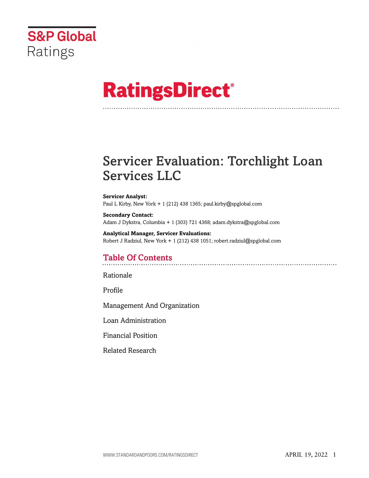

# **RatingsDirect®**

# Servicer Evaluation: Torchlight Loan Services LLC

#### **Servicer Analyst:**

Paul L Kirby, New York + 1 (212) 438 1365; paul.kirby@spglobal.com

**Secondary Contact:** Adam J Dykstra, Columbia + 1 (303) 721 4368; adam.dykstra@spglobal.com

**Analytical Manager, Servicer Evaluations:** Robert J Radziul, New York + 1 (212) 438 1051; robert.radziul@spglobal.com

# Table Of Contents

[Rationale](#page-1-0)

[Profile](#page-2-0)

[Management And Organization](#page-3-0)

[Loan Administration](#page-7-0)

[Financial Position](#page-11-0)

[Related Research](#page-11-1)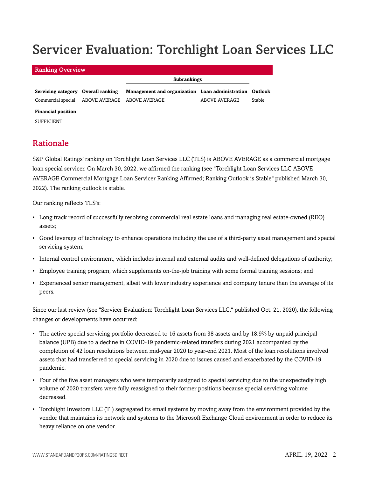# Servicer Evaluation: Torchlight Loan Services LLC

| <b>Ranking Overview</b>                        |                                                         |               |        |
|------------------------------------------------|---------------------------------------------------------|---------------|--------|
|                                                | <b>Subrankings</b>                                      |               |        |
| Servicing category Overall ranking             | Management and organization Loan administration Outlook |               |        |
| Commercial special ABOVE AVERAGE ABOVE AVERAGE |                                                         | ABOVE AVERAGE | Stable |
| <b>Financial position</b>                      |                                                         |               |        |

<span id="page-1-0"></span>SUFFICIENT

# Rationale

S&P Global Ratings' ranking on Torchlight Loan Services LLC (TLS) is ABOVE AVERAGE as a commercial mortgage loan special servicer. On March 30, 2022, we affirmed the ranking (see "Torchlight Loan Services LLC ABOVE AVERAGE Commercial Mortgage Loan Servicer Ranking Affirmed; Ranking Outlook is Stable" published March 30, 2022). The ranking outlook is stable.

Our ranking reflects TLS's:

- Long track record of successfully resolving commercial real estate loans and managing real estate-owned (REO) assets;
- Good leverage of technology to enhance operations including the use of a third-party asset management and special servicing system;
- Internal control environment, which includes internal and external audits and well-defined delegations of authority;
- Employee training program, which supplements on-the-job training with some formal training sessions; and
- Experienced senior management, albeit with lower industry experience and company tenure than the average of its peers.

Since our last review (see "Servicer Evaluation: Torchlight Loan Services LLC," published Oct. 21, 2020), the following changes or developments have occurred:

- The active special servicing portfolio decreased to 16 assets from 38 assets and by 18.9% by unpaid principal balance (UPB) due to a decline in COVID-19 pandemic-related transfers during 2021 accompanied by the completion of 42 loan resolutions between mid-year 2020 to year-end 2021. Most of the loan resolutions involved assets that had transferred to special servicing in 2020 due to issues caused and exacerbated by the COVID-19 pandemic.
- Four of the five asset managers who were temporarily assigned to special servicing due to the unexpectedly high volume of 2020 transfers were fully reassigned to their former positions because special servicing volume decreased.
- Torchlight Investors LLC (TI) segregated its email systems by moving away from the environment provided by the vendor that maintains its network and systems to the Microsoft Exchange Cloud environment in order to reduce its heavy reliance on one vendor.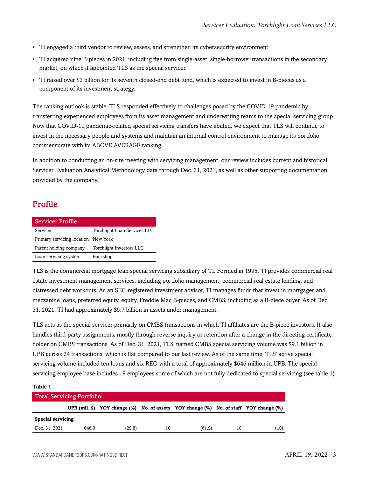- TI engaged a third vendor to review, assess, and strengthen its cybersecurity environment.
- TI acquired nine B-pieces in 2021, including five from single-asset, single-borrower transactions in the secondary market, on which it appointed TLS as the special servicer.
- TI raised over \$2 billion for its seventh closed-end debt fund, which is expected to invest in B-pieces as a component of its investment strategy.

The ranking outlook is stable. TLS responded effectively to challenges posed by the COVID-19 pandemic by transferring experienced employees from its asset management and underwriting teams to the special servicing group. Now that COVID-19 pandemic-related special servicing transfers have abated, we expect that TLS will continue to invest in the necessary people and systems and maintain an internal control environment to manage its portfolio commensurate with its ABOVE AVERAGE ranking.

In addition to conducting an on-site meeting with servicing management, our review includes current and historical Servicer Evaluation Analytical Methodology data through Dec. 31, 2021, as well as other supporting documentation provided by the company.

# <span id="page-2-0"></span>Profile

**Table 1**

| <b>Servicer Profile</b>             |                              |
|-------------------------------------|------------------------------|
| Servicer                            | Torchlight Loan Services LLC |
| Primary servicing location New York |                              |
| Parent holding company              | Torchlight Investors LLC     |
| Loan servicing system               | Backshop                     |

TLS is the commercial mortgage loan special servicing subsidiary of TI. Formed in 1995, TI provides commercial real estate investment management services, including portfolio management, commercial real estate lending, and distressed debt workouts. As an SEC-registered investment advisor, TI manages funds that invest in mortgages and mezzanine loans, preferred equity, equity, Freddie Mac B-pieces, and CMBS, including as a B-piece buyer. As of Dec. 31, 2021, TI had approximately \$5.7 billion in assets under management.

TLS acts as the special servicer primarily on CMBS transactions in which TI affiliates are the B-piece investors. It also handles third-party assignments, mostly through reverse inquiry or retention after a change in the directing certificate holder on CMBS transactions. As of Dec. 31, 2021, TLS' named CMBS special servicing volume was \$9.1 billion in UPB across 24 transactions, which is flat compared to our last review. As of the same time, TLS' active special servicing volume included ten loans and six REO with a total of approximately \$646 million in UPB. The special servicing employee base includes 18 employees some of which are not fully dedicated to special servicing (see table 1).

| Tanic T                  |                                  |        |    |                                                                                       |    |      |
|--------------------------|----------------------------------|--------|----|---------------------------------------------------------------------------------------|----|------|
|                          | <b>Total Servicing Portfolio</b> |        |    |                                                                                       |    |      |
|                          |                                  |        |    | UPB (mil. \$) YOY change (%) No. of assets YOY change (%) No. of staff YOY change (%) |    |      |
| <b>Special servicing</b> |                                  |        |    |                                                                                       |    |      |
| Dec. 31, 2021            | 646.0                            | (29.8) | 16 | (61.9)                                                                                | 18 | (10) |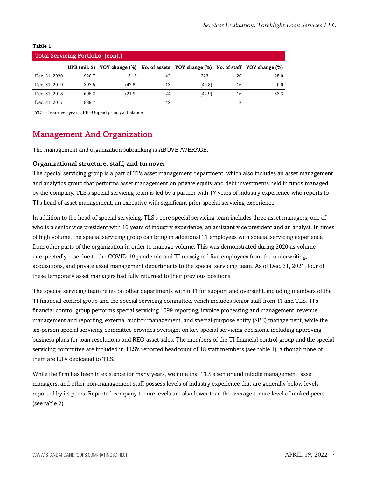| ۰.<br>×<br>. .<br>۰.<br>۰.<br>w |
|---------------------------------|
|---------------------------------|

|               | <b>Total Servicing Portfolio (cont.)</b> |                                   |    |                                                          |    |      |
|---------------|------------------------------------------|-----------------------------------|----|----------------------------------------------------------|----|------|
|               |                                          | UPB $(mil. \S)$ YOY change $(\%)$ |    | No. of assets YOY change (%) No. of staff YOY change (%) |    |      |
| Dec. 31, 2020 | 920.7                                    | 131.6                             | 42 | 223.1                                                    | 20 | 25.0 |
| Dec. 31, 2019 | 397.5                                    | (42.8)                            | 13 | (45.8)                                                   | 16 | 0.0  |
| Dec. 31, 2018 | 695.2                                    | (21.9)                            | 24 | (42.9)                                                   | 16 | 33.3 |
| Dec. 31, 2017 | 889.7                                    |                                   | 42 |                                                          | 12 |      |

<span id="page-3-0"></span>YOY--Year-over-year. UPB--Unpaid principal balance.

### Management And Organization

The management and organization subranking is ABOVE AVERAGE.

#### Organizational structure, staff, and turnover

The special servicing group is a part of TI's asset management department, which also includes an asset management and analytics group that performs asset management on private equity and debt investments held in funds managed by the company. TLS's special servicing team is led by a partner with 17 years of industry experience who reports to TI's head of asset management, an executive with significant prior special servicing experience.

In addition to the head of special servicing, TLS's core special servicing team includes three asset managers, one of who is a senior vice president with 16 years of industry experience, an assistant vice president and an analyst. In times of high volume, the special servicing group can bring in additional TI employees with special servicing experience from other parts of the organization in order to manage volume. This was demonstrated during 2020 as volume unexpectedly rose due to the COVID-19 pandemic and TI reassigned five employees from the underwriting, acquisitions, and private asset management departments to the special servicing team. As of Dec. 31, 2021, four of these temporary asset managers had fully returned to their previous positions.

The special servicing team relies on other departments within TI for support and oversight, including members of the TI financial control group and the special servicing committee, which includes senior staff from TI and TLS. TI's financial control group performs special servicing 1099 reporting, invoice processing and management, revenue management and reporting, external auditor management, and special-purpose entity (SPE) management, while the six-person special servicing committee provides oversight on key special servicing decisions, including approving business plans for loan resolutions and REO asset sales. The members of the TI financial control group and the special servicing committee are included in TLS's reported headcount of 18 staff members (see table 1), although none of them are fully dedicated to TLS.

While the firm has been in existence for many years, we note that TLS's senior and middle management, asset managers, and other non-management staff possess levels of industry experience that are generally below levels reported by its peers. Reported company tenure levels are also lower than the average tenure level of ranked peers (see table 2).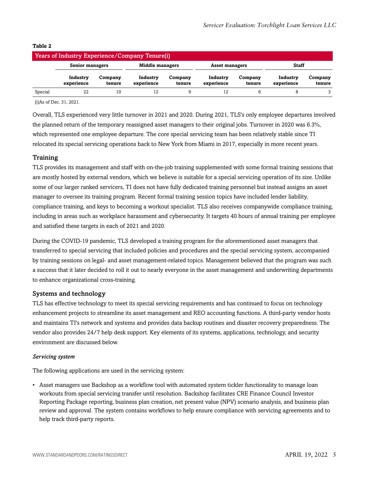|         | <b>Years of Industry Experience/Company Tenure(i)</b> |                   |                        |                   |                        |                   |                        |                   |
|---------|-------------------------------------------------------|-------------------|------------------------|-------------------|------------------------|-------------------|------------------------|-------------------|
|         | Senior managers                                       |                   | <b>Middle managers</b> |                   | <b>Asset managers</b>  |                   | <b>Staff</b>           |                   |
|         | Industry<br>experience                                | Company<br>tenure | Industry<br>experience | Company<br>tenure | Industry<br>experience | Company<br>tenure | Industry<br>experience | Company<br>tenure |
| Special | 22                                                    | 10                | 12                     |                   | 12                     |                   |                        |                   |

#### **Table 2**

(i)As of Dec. 31, 2021.

Overall, TLS experienced very little turnover in 2021 and 2020. During 2021, TLS's only employee departures involved the planned return of the temporary reassigned asset managers to their original jobs. Turnover in 2020 was 6.3%, which represented one employee departure. The core special servicing team has been relatively stable since TI relocated its special servicing operations back to New York from Miami in 2017, especially in more recent years.

#### Training

TLS provides its management and staff with on-the-job training supplemented with some formal training sessions that are mostly hosted by external vendors, which we believe is suitable for a special servicing operation of its size. Unlike some of our larger ranked servicers, TI does not have fully dedicated training personnel but instead assigns an asset manager to oversee its training program. Recent formal training session topics have included lender liability, compliance training, and keys to becoming a workout specialist. TLS also receives companywide compliance training, including in areas such as workplace harassment and cybersecurity. It targets 40 hours of annual training per employee and satisfied these targets in each of 2021 and 2020.

During the COVID-19 pandemic, TLS developed a training program for the aforementioned asset managers that transferred to special servicing that included policies and procedures and the special servicing system, accompanied by training sessions on legal- and asset management-related topics. Management believed that the program was such a success that it later decided to roll it out to nearly everyone in the asset management and underwriting departments to enhance organizational cross-training.

#### Systems and technology

TLS has effective technology to meet its special servicing requirements and has continued to focus on technology enhancement projects to streamline its asset management and REO accounting functions. A third-party vendor hosts and maintains TI's network and systems and provides data backup routines and disaster recovery preparedness. The vendor also provides 24/7 help desk support. Key elements of its systems, applications, technology, and security environment are discussed below.

#### *Servicing system*

The following applications are used in the servicing system:

• Asset managers use Backshop as a workflow tool with automated system tickler functionality to manage loan workouts from special servicing transfer until resolution. Backshop facilitates CRE Finance Council Investor Reporting Package reporting, business plan creation, net present value (NPV) scenario analysis, and business plan review and approval. The system contains workflows to help ensure compliance with servicing agreements and to help track third-party reports.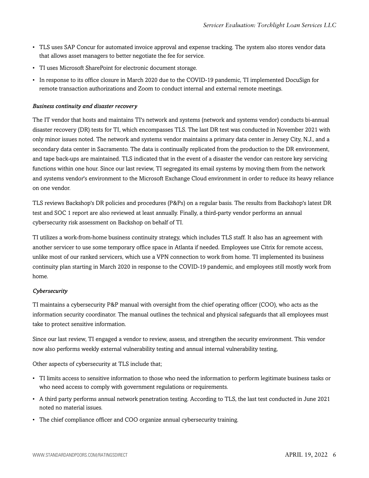- TLS uses SAP Concur for automated invoice approval and expense tracking. The system also stores vendor data that allows asset managers to better negotiate the fee for service.
- TI uses Microsoft SharePoint for electronic document storage.
- In response to its office closure in March 2020 due to the COVID-19 pandemic, TI implemented DocuSign for remote transaction authorizations and Zoom to conduct internal and external remote meetings.

#### *Business continuity and disaster recovery*

The IT vendor that hosts and maintains TI's network and systems (network and systems vendor) conducts bi-annual disaster recovery (DR) tests for TI, which encompasses TLS. The last DR test was conducted in November 2021 with only minor issues noted. The network and systems vendor maintains a primary data center in Jersey City, N.J., and a secondary data center in Sacramento. The data is continually replicated from the production to the DR environment, and tape back-ups are maintained. TLS indicated that in the event of a disaster the vendor can restore key servicing functions within one hour. Since our last review, TI segregated its email systems by moving them from the network and systems vendor's environment to the Microsoft Exchange Cloud environment in order to reduce its heavy reliance on one vendor.

TLS reviews Backshop's DR policies and procedures (P&Ps) on a regular basis. The results from Backshop's latest DR test and SOC 1 report are also reviewed at least annually. Finally, a third-party vendor performs an annual cybersecurity risk assessment on Backshop on behalf of TI.

TI utilizes a work-from-home business continuity strategy, which includes TLS staff. It also has an agreement with another servicer to use some temporary office space in Atlanta if needed. Employees use Citrix for remote access, unlike most of our ranked servicers, which use a VPN connection to work from home. TI implemented its business continuity plan starting in March 2020 in response to the COVID-19 pandemic, and employees still mostly work from home.

#### *Cybersecurity*

TI maintains a cybersecurity P&P manual with oversight from the chief operating officer (COO), who acts as the information security coordinator. The manual outlines the technical and physical safeguards that all employees must take to protect sensitive information.

Since our last review, TI engaged a vendor to review, assess, and strengthen the security environment. This vendor now also performs weekly external vulnerability testing and annual internal vulnerability testing,

Other aspects of cybersecurity at TLS include that;

- TI limits access to sensitive information to those who need the information to perform legitimate business tasks or who need access to comply with government regulations or requirements.
- A third party performs annual network penetration testing. According to TLS, the last test conducted in June 2021 noted no material issues.
- The chief compliance officer and COO organize annual cybersecurity training.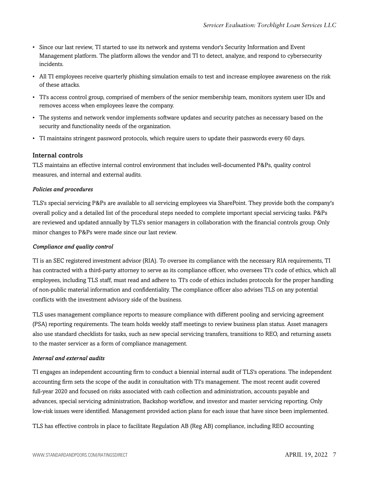- Since our last review, TI started to use its network and systems vendor's Security Information and Event Management platform. The platform allows the vendor and TI to detect, analyze, and respond to cybersecurity incidents.
- All TI employees receive quarterly phishing simulation emails to test and increase employee awareness on the risk of these attacks.
- TI's access control group, comprised of members of the senior membership team, monitors system user IDs and removes access when employees leave the company.
- The systems and network vendor implements software updates and security patches as necessary based on the security and functionality needs of the organization.
- TI maintains stringent password protocols, which require users to update their passwords every 60 days.

#### Internal controls

TLS maintains an effective internal control environment that includes well-documented P&Ps, quality control measures, and internal and external audits.

#### *Policies and procedures*

TLS's special servicing P&Ps are available to all servicing employees via SharePoint. They provide both the company's overall policy and a detailed list of the procedural steps needed to complete important special servicing tasks. P&Ps are reviewed and updated annually by TLS's senior managers in collaboration with the financial controls group. Only minor changes to P&Ps were made since our last review.

#### *Compliance and quality control*

TI is an SEC registered investment advisor (RIA). To oversee its compliance with the necessary RIA requirements, TI has contracted with a third-party attorney to serve as its compliance officer, who oversees TI's code of ethics, which all employees, including TLS staff, must read and adhere to. TI's code of ethics includes protocols for the proper handling of non-public material information and confidentiality. The compliance officer also advises TLS on any potential conflicts with the investment advisory side of the business.

TLS uses management compliance reports to measure compliance with different pooling and servicing agreement (PSA) reporting requirements. The team holds weekly staff meetings to review business plan status. Asset managers also use standard checklists for tasks, such as new special servicing transfers, transitions to REO, and returning assets to the master servicer as a form of compliance management.

#### *Internal and external audits*

TI engages an independent accounting firm to conduct a biennial internal audit of TLS's operations. The independent accounting firm sets the scope of the audit in consultation with TI's management. The most recent audit covered full-year 2020 and focused on risks associated with cash collection and administration, accounts payable and advances, special servicing administration, Backshop workflow, and investor and master servicing reporting. Only low-risk issues were identified. Management provided action plans for each issue that have since been implemented.

TLS has effective controls in place to facilitate Regulation AB (Reg AB) compliance, including REO accounting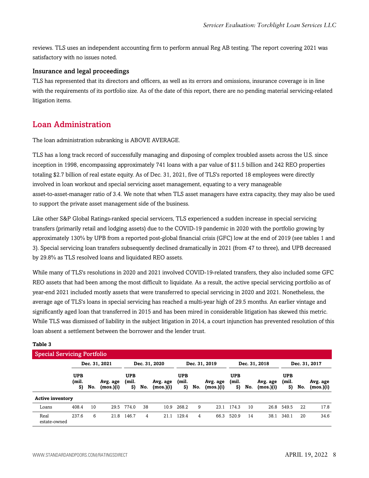reviews. TLS uses an independent accounting firm to perform annual Reg AB testing. The report covering 2021 was satisfactory with no issues noted.

#### Insurance and legal proceedings

TLS has represented that its directors and officers, as well as its errors and omissions, insurance coverage is in line with the requirements of its portfolio size. As of the date of this report, there are no pending material servicing-related litigation items.

# <span id="page-7-0"></span>Loan Administration

The loan administration subranking is ABOVE AVERAGE.

TLS has a long track record of successfully managing and disposing of complex troubled assets across the U.S. since inception in 1998, encompassing approximately 741 loans with a par value of \$11.5 billion and 242 REO properties totaling \$2.7 billion of real estate equity. As of Dec. 31, 2021, five of TLS's reported 18 employees were directly involved in loan workout and special servicing asset management, equating to a very manageable asset-to-asset-manager ratio of 3.4. We note that when TLS asset managers have extra capacity, they may also be used to support the private asset management side of the business.

Like other S&P Global Ratings-ranked special servicers, TLS experienced a sudden increase in special servicing transfers (primarily retail and lodging assets) due to the COVID-19 pandemic in 2020 with the portfolio growing by approximately 130% by UPB from a reported post-global financial crisis (GFC) low at the end of 2019 (see tables 1 and 3). Special servicing loan transfers subsequently declined dramatically in 2021 (from 47 to three), and UPB decreased by 29.8% as TLS resolved loans and liquidated REO assets.

While many of TLS's resolutions in 2020 and 2021 involved COVID-19-related transfers, they also included some GFC REO assets that had been among the most difficult to liquidate. As a result, the active special servicing portfolio as of year-end 2021 included mostly assets that were transferred to special servicing in 2020 and 2021. Nonetheless, the average age of TLS's loans in special servicing has reached a multi-year high of 29.5 months. An earlier vintage and significantly aged loan that transferred in 2015 and has been mired in considerable litigation has skewed this metric. While TLS was dismissed of liability in the subject litigation in 2014, a court injunction has prevented resolution of this loan absent a settlement between the borrower and the lender trust.

| <b>Special Servicing Portfolio</b> |                           |     |                       |                           |     |                       |                           |     |                       |                           |     |                       |                           |     |                       |
|------------------------------------|---------------------------|-----|-----------------------|---------------------------|-----|-----------------------|---------------------------|-----|-----------------------|---------------------------|-----|-----------------------|---------------------------|-----|-----------------------|
|                                    |                           |     | Dec. 31, 2021         |                           |     | Dec. 31, 2020         |                           |     | Dec. 31, 2019         |                           |     | Dec. 31, 2018         |                           |     | Dec. 31, 2017         |
|                                    | <b>UPB</b><br>(mil.<br>S) | No. | Avg. age<br>(mos.)(i) | <b>UPB</b><br>(mil.<br>S) | No. | Avg. age<br>(mos.)(i) | <b>UPB</b><br>(mil.<br>S) | No. | Avg. age<br>(mos.)(i) | <b>UPB</b><br>(mil.<br>S) | No. | Avg. age<br>(mos.)(i) | <b>UPB</b><br>(mil.<br>S) | No. | Avg. age<br>(mos.)(i) |
| <b>Active inventory</b>            |                           |     |                       |                           |     |                       |                           |     |                       |                           |     |                       |                           |     |                       |
| Loans                              | 408.4                     | 10  | 29.5                  | 774.0                     | 38  | 10.9                  | 268.2                     | 9   | 23.1                  | 174.3                     | 10  | 26.8                  | 549.5                     | 22  | 17.8                  |
| Real<br>estate-owned               | 237.6                     | 6   | 21.8                  | 146.7                     | 4   | 21.1                  | 129.4                     | 4   | 66.3                  | 520.9                     | 14  | 38.1                  | 340.1                     | 20  | 34.6                  |

#### **Table 3**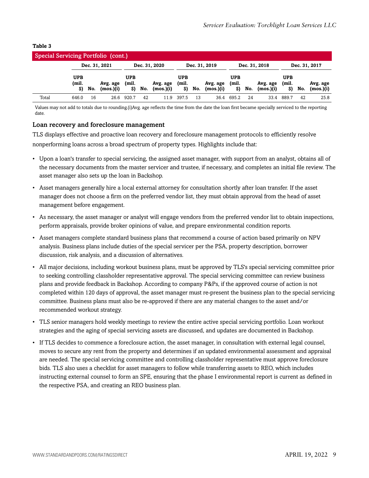#### **Table 3**

| Special Servicing Portfolio (cont.) |                     |         |                       |                    |     |                       |                    |     |                       |                           |     |                       |                           |     |                       |
|-------------------------------------|---------------------|---------|-----------------------|--------------------|-----|-----------------------|--------------------|-----|-----------------------|---------------------------|-----|-----------------------|---------------------------|-----|-----------------------|
|                                     |                     |         | Dec. 31, 2021         |                    |     | Dec. 31, 2020         |                    |     | Dec. 31, 2019         |                           |     | Dec. 31, 2018         |                           |     | Dec. 31, 2017         |
|                                     | <b>UPB</b><br>(mil. | \$) No. | Avg. age<br>(mos.)(i) | UPB<br>(mil.<br>S) | No. | Avg. age<br>(mos.)(i) | UPB<br>(mil.<br>S) | No. | Avg. age<br>(mos.)(i) | <b>UPB</b><br>(mil.<br>S) | No. | Avg. age<br>(mos.)(i) | <b>UPB</b><br>(mil.<br>S) | No. | Avg. age<br>(mos.)(i) |
| Total                               | 646.0               | 16      | 26.6                  | 920.7              | 42  | 11.9                  | 397.5              | 13  | 36.4                  | 695.2                     | 24  | 33.4                  | 889.7                     | 42  | 25.8                  |

Values may not add to totals due to rounding.(i)Avg. age reflects the time from the date the loan first became specially serviced to the reporting date.

#### Loan recovery and foreclosure management

TLS displays effective and proactive loan recovery and foreclosure management protocols to efficiently resolve nonperforming loans across a broad spectrum of property types. Highlights include that:

- Upon a loan's transfer to special servicing, the assigned asset manager, with support from an analyst, obtains all of the necessary documents from the master servicer and trustee, if necessary, and completes an initial file review. The asset manager also sets up the loan in Backshop.
- Asset managers generally hire a local external attorney for consultation shortly after loan transfer. If the asset manager does not choose a firm on the preferred vendor list, they must obtain approval from the head of asset management before engagement.
- As necessary, the asset manager or analyst will engage vendors from the preferred vendor list to obtain inspections, perform appraisals, provide broker opinions of value, and prepare environmental condition reports.
- Asset managers complete standard business plans that recommend a course of action based primarily on NPV analysis. Business plans include duties of the special servicer per the PSA, property description, borrower discussion, risk analysis, and a discussion of alternatives.
- All major decisions, including workout business plans, must be approved by TLS's special servicing committee prior to seeking controlling classholder representative approval. The special servicing committee can review business plans and provide feedback in Backshop. According to company P&Ps, if the approved course of action is not completed within 120 days of approval, the asset manager must re-present the business plan to the special servicing committee. Business plans must also be re-approved if there are any material changes to the asset and/or recommended workout strategy.
- TLS senior managers hold weekly meetings to review the entire active special servicing portfolio. Loan workout strategies and the aging of special servicing assets are discussed, and updates are documented in Backshop.
- If TLS decides to commence a foreclosure action, the asset manager, in consultation with external legal counsel, moves to secure any rent from the property and determines if an updated environmental assessment and appraisal are needed. The special servicing committee and controlling classholder representative must approve foreclosure bids. TLS also uses a checklist for asset managers to follow while transferring assets to REO, which includes instructing external counsel to form an SPE, ensuring that the phase I environmental report is current as defined in the respective PSA, and creating an REO business plan.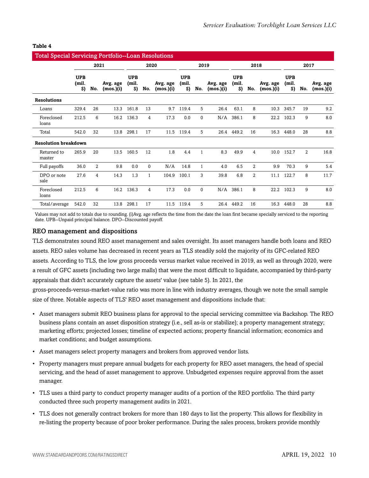| <b>Total Special Servicing Portfolio--Loan Resolutions</b> |                           |      |                       |                           |                |                       |                           |              |                       |                           |                |                       |                           |                |                       |
|------------------------------------------------------------|---------------------------|------|-----------------------|---------------------------|----------------|-----------------------|---------------------------|--------------|-----------------------|---------------------------|----------------|-----------------------|---------------------------|----------------|-----------------------|
|                                                            |                           | 2021 |                       |                           | 2020           |                       |                           | 2019         |                       |                           | 2018           |                       |                           | 2017           |                       |
|                                                            | <b>UPB</b><br>(mil.<br>S) | No.  | Avg. age<br>(mos.)(i) | <b>UPB</b><br>(mil.<br>S) | No.            | Avg. age<br>(mos.)(i) | <b>UPB</b><br>(mil.<br>S) | No.          | Avg. age<br>(mos.)(i) | <b>UPB</b><br>(mil.<br>S) | No.            | Avg. age<br>(mos.)(i) | <b>UPB</b><br>(mil.<br>S) | No.            | Avg. age<br>(mos.)(i) |
| <b>Resolutions</b>                                         |                           |      |                       |                           |                |                       |                           |              |                       |                           |                |                       |                           |                |                       |
| Loans                                                      | 329.4                     | 26   | 13.3                  | 161.8                     | 13             | 9.7                   | 119.4                     | 5            | 26.4                  | 63.1                      | 8              | 10.3                  | 345.7                     | 19             | 9.2                   |
| Foreclosed<br>loans                                        | 212.5                     | 6    | 16.2                  | 136.3                     | 4              | 17.3                  | 0.0                       | 0            | N/A                   | 386.1                     | 8              | 22.2                  | 102.3                     | 9              | 8.0                   |
| Total                                                      | 542.0                     | 32   | 13.8                  | 298.1                     | 17             | 11.5                  | 119.4                     | 5            |                       | 26.4 449.2                | 16             | 16.3                  | 448.0                     | 28             | 8.8                   |
| <b>Resolution breakdown</b>                                |                           |      |                       |                           |                |                       |                           |              |                       |                           |                |                       |                           |                |                       |
| Returned to<br>master                                      | 265.9                     | 20   | 13.5                  | 160.5                     | 12             | 1.8                   | 4.4                       | $\mathbf{1}$ | 8.3                   | 49.9                      | 4              | 10.0                  | 152.7                     | $\overline{2}$ | 16.8                  |
| Full payoffs                                               | 36.0                      | 2    | 9.8                   | 0.0                       | $\Omega$       | N/A                   | 14.8                      | $\mathbf{1}$ | 4.0                   | 6.5                       | 2              | 9.9                   | 70.3                      | 9              | 5.4                   |
| DPO or note<br>sale                                        | 27.6                      | 4    | 14.3                  | 1.3                       | 1              | 104.9                 | 100.1                     | 3            | 39.8                  | 6.8                       | $\overline{2}$ | 11.1                  | 122.7                     | 8              | 11.7                  |
| Foreclosed<br>loans                                        | 212.5                     | 6    | 16.2                  | 136.3                     | $\overline{4}$ | 17.3                  | 0.0                       | $\mathbf{0}$ | N/A                   | 386.1                     | 8              | 22.2                  | 102.3                     | 9              | 8.0                   |
| Total/average                                              | 542.0                     | 32   | 13.8                  | 298.1                     | 17             | 11.5                  | 119.4                     | 5            | 26.4                  | 449.2                     | 16             | 16.3                  | 448.0                     | 28             | 8.8                   |

#### **Table 4**

Values may not add to totals due to rounding. (i)Avg. age reflects the time from the date the loan first became specially serviced to the reporting date. UPB--Unpaid principal balance. DPO--Discounted payoff.

#### REO management and dispositions

TLS demonstrates sound REO asset management and sales oversight. Its asset managers handle both loans and REO assets. REO sales volume has decreased in recent years as TLS steadily sold the majority of its GFC-related REO assets. According to TLS, the low gross proceeds versus market value received in 2019, as well as through 2020, were a result of GFC assets (including two large malls) that were the most difficult to liquidate, accompanied by third-party appraisals that didn't accurately capture the assets' value (see table 5). In 2021, the

gross-proceeds-versus-market-value ratio was more in line with industry averages, though we note the small sample size of three. Notable aspects of TLS' REO asset management and dispositions include that:

- Asset managers submit REO business plans for approval to the special servicing committee via Backshop. The REO business plans contain an asset disposition strategy (i.e., sell as-is or stabilize); a property management strategy; marketing efforts; projected losses; timeline of expected actions; property financial information; economics and market conditions; and budget assumptions.
- Asset managers select property managers and brokers from approved vendor lists.
- Property managers must prepare annual budgets for each property for REO asset managers, the head of special servicing, and the head of asset management to approve. Unbudgeted expenses require approval from the asset manager.
- TLS uses a third party to conduct property manager audits of a portion of the REO portfolio. The third party conducted three such property management audits in 2021.
- TLS does not generally contract brokers for more than 180 days to list the property. This allows for flexibility in re-listing the property because of poor broker performance. During the sales process, brokers provide monthly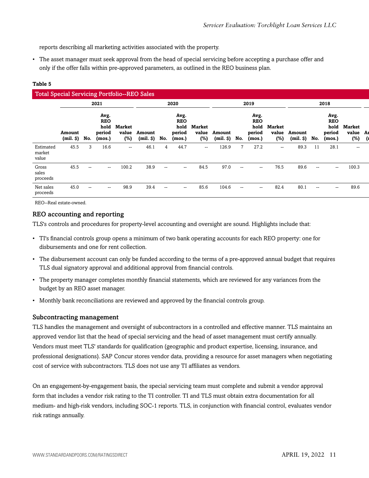reports describing all marketing activities associated with the property.

• The asset manager must seek approval from the head of special servicing before accepting a purchase offer and only if the offer falls within pre-approved parameters, as outlined in the REO business plan.

| ۰.<br>×<br>v<br>٩<br>۰. | ۰.<br>w | ۰, |
|-------------------------|---------|----|
|                         |         |    |

| <b>Total Special Servicing Portfolio--REO Sales</b> |                         |                          |                                                |                               |                         |                          |                                                |                                  |                         |                   |                                                |                                  |                                |                          |                                                |                                     |  |  |
|-----------------------------------------------------|-------------------------|--------------------------|------------------------------------------------|-------------------------------|-------------------------|--------------------------|------------------------------------------------|----------------------------------|-------------------------|-------------------|------------------------------------------------|----------------------------------|--------------------------------|--------------------------|------------------------------------------------|-------------------------------------|--|--|
|                                                     |                         |                          | 2021                                           |                               |                         |                          | 2020                                           |                                  |                         | 2019              |                                                |                                  |                                | 2018                     |                                                |                                     |  |  |
|                                                     | Amount<br>$(mil.$ $\$ ) | No.                      | Avg.<br><b>REO</b><br>hold<br>period<br>(mos.) | <b>Market</b><br>value<br>(%) | Amount<br>(mil. \$) No. |                          | Avg.<br><b>REO</b><br>hold<br>period<br>(mos.) | <b>Market</b><br>value<br>$(\%)$ | Amount<br>$(mil.$ $\$ ) | No.               | Avg.<br><b>REO</b><br>hold<br>period<br>(mos.) | <b>Market</b><br>value<br>$(\%)$ | Amount<br>$(mil.$ $\vartheta)$ | No.                      | Avg.<br><b>REO</b><br>hold<br>period<br>(mos.) | <b>Market</b><br>value Ar<br>$(\%)$ |  |  |
| Estimated<br>market<br>value                        | 45.5                    | 3                        | 16.6                                           | $\overline{\phantom{a}}$      | 46.1                    | 4                        | 44.7                                           | $\overline{\phantom{a}}$         | 126.9                   |                   | 27.2                                           | $\overline{\phantom{a}}$         | 89.3                           | 11                       | 28.1                                           | $\overline{\phantom{a}}$            |  |  |
| Gross<br>sales<br>proceeds                          | 45.5                    | $\overline{\phantom{a}}$ | $- -$                                          | 100.2                         | 38.9                    | $\overline{\phantom{a}}$ | $- -$                                          | 84.5                             | 97.0                    | $\hspace{0.05cm}$ | $-$                                            | 76.5                             | 89.6                           | $\hspace{0.05cm}$        | $\sim$                                         | 100.3                               |  |  |
| Net sales<br>proceeds                               | 45.0                    | $\overline{\phantom{a}}$ | $\qquad \qquad -$                              | 98.9                          | 39.4                    | $\overline{\phantom{a}}$ | $- -$                                          | 85.6                             | 104.6                   | $\hspace{0.05cm}$ | --                                             | 82.4                             | 80.1                           | $\overline{\phantom{a}}$ | $\sim$                                         | 89.6                                |  |  |

REO--Real estate-owned.

#### REO accounting and reporting

TLS's controls and procedures for property-level accounting and oversight are sound. Highlights include that:

- TI's financial controls group opens a minimum of two bank operating accounts for each REO property: one for disbursements and one for rent collection.
- The disbursement account can only be funded according to the terms of a pre-approved annual budget that requires TLS dual signatory approval and additional approval from financial controls.
- The property manager completes monthly financial statements, which are reviewed for any variances from the budget by an REO asset manager.
- Monthly bank reconciliations are reviewed and approved by the financial controls group.

#### Subcontracting management

TLS handles the management and oversight of subcontractors in a controlled and effective manner. TLS maintains an approved vendor list that the head of special servicing and the head of asset management must certify annually. Vendors must meet TLS' standards for qualification (geographic and product expertise, licensing, insurance, and professional designations). SAP Concur stores vendor data, providing a resource for asset managers when negotiating cost of service with subcontractors. TLS does not use any TI affiliates as vendors.

On an engagement-by-engagement basis, the special servicing team must complete and submit a vendor approval form that includes a vendor risk rating to the TI controller. TI and TLS must obtain extra documentation for all medium- and high-risk vendors, including SOC-1 reports. TLS, in conjunction with financial control, evaluates vendor risk ratings annually.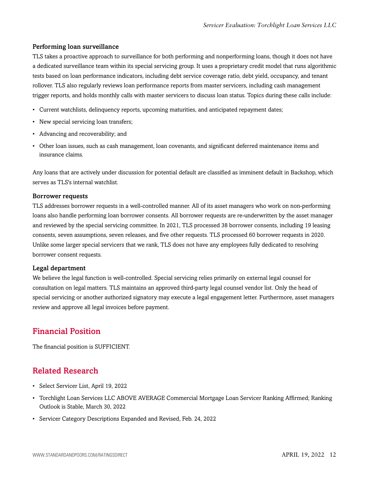#### Performing loan surveillance

TLS takes a proactive approach to surveillance for both performing and nonperforming loans, though it does not have a dedicated surveillance team within its special servicing group. It uses a proprietary credit model that runs algorithmic tests based on loan performance indicators, including debt service coverage ratio, debt yield, occupancy, and tenant rollover. TLS also regularly reviews loan performance reports from master servicers, including cash management trigger reports, and holds monthly calls with master servicers to discuss loan status. Topics during these calls include:

- Current watchlists, delinquency reports, upcoming maturities, and anticipated repayment dates;
- New special servicing loan transfers;
- Advancing and recoverability; and
- Other loan issues, such as cash management, loan covenants, and significant deferred maintenance items and insurance claims.

Any loans that are actively under discussion for potential default are classified as imminent default in Backshop, which serves as TLS's internal watchlist.

#### Borrower requests

TLS addresses borrower requests in a well-controlled manner. All of its asset managers who work on non-performing loans also handle performing loan borrower consents. All borrower requests are re-underwritten by the asset manager and reviewed by the special servicing committee. In 2021, TLS processed 38 borrower consents, including 19 leasing consents, seven assumptions, seven releases, and five other requests. TLS processed 60 borrower requests in 2020. Unlike some larger special servicers that we rank, TLS does not have any employees fully dedicated to resolving borrower consent requests.

#### Legal department

We believe the legal function is well-controlled. Special servicing relies primarily on external legal counsel for consultation on legal matters. TLS maintains an approved third-party legal counsel vendor list. Only the head of special servicing or another authorized signatory may execute a legal engagement letter. Furthermore, asset managers review and approve all legal invoices before payment.

## <span id="page-11-0"></span>Financial Position

<span id="page-11-1"></span>The financial position is SUFFICIENT.

## Related Research

- Select Servicer List, April 19, 2022
- Torchlight Loan Services LLC ABOVE AVERAGE Commercial Mortgage Loan Servicer Ranking Affirmed; Ranking Outlook is Stable, March 30, 2022
- Servicer Category Descriptions Expanded and Revised, Feb. 24, 2022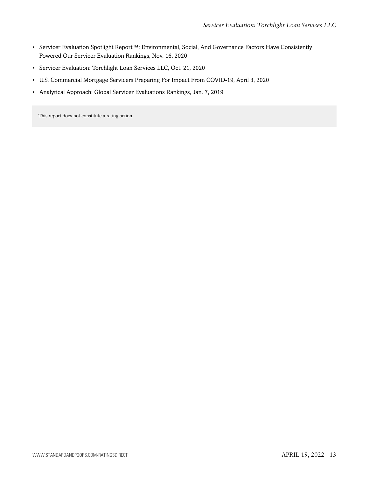- Servicer Evaluation Spotlight Report™: Environmental, Social, And Governance Factors Have Consistently Powered Our Servicer Evaluation Rankings, Nov. 16, 2020
- Servicer Evaluation: Torchlight Loan Services LLC, Oct. 21, 2020
- U.S. Commercial Mortgage Servicers Preparing For Impact From COVID-19, April 3, 2020
- Analytical Approach: Global Servicer Evaluations Rankings, Jan. 7, 2019

This report does not constitute a rating action.